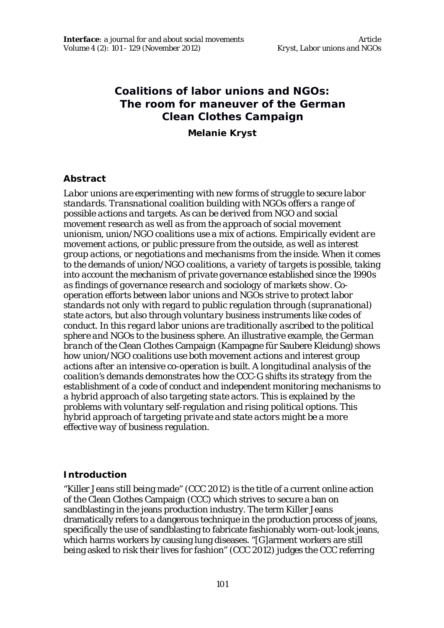# **Coalitions of labor unions and NGOs: The room for maneuver of the German**  *Clean Clothes Campaign*

**Melanie Kryst**

#### **Abstract**

*Labor unions are experimenting with new forms of struggle to secure labor standards. Transnational coalition building with NGOs offers a range of possible actions and targets. As can be derived from NGO and social movement research as well as from the approach of social movement unionism, union/NGO coalitions use a mix of actions. Empirically evident are movement actions, or public pressure from the outside, as well as interest group actions, or negotiations and mechanisms from the inside. When it comes to the demands of union/NGO coalitions, a variety of targets is possible, taking into account the mechanism of private governance established since the 1990s as findings of governance research and sociology of markets show. Cooperation efforts between labor unions and NGOs strive to protect labor standards not only with regard to public regulation through (supranational) state actors, but also through voluntary business instruments like codes of conduct. In this regard labor unions are traditionally ascribed to the political sphere and NGOs to the business sphere. An illustrative example, the German branch of the* Clean Clothes Campaign (Kampagne für Saubere Kleidung) *shows how union/NGO coalitions use both movement actions and interest group actions after an intensive co-operation is built. A longitudinal analysis of the coalition's demands demonstrates how the CCC-G shifts its strategy from the establishment of a code of conduct and independent monitoring mechanisms to a hybrid approach of also targeting state actors. This is explained by the problems with voluntary self-regulation and rising political options. This hybrid approach of targeting private and state actors might be a more effective way of business regulation.*

# **Introduction**

"Killer Jeans still being made" (CCC 2012) is the title of a current online action of the Clean Clothes Campaign (CCC) which strives to secure a ban on sandblasting in the jeans production industry. The term Killer Jeans dramatically refers to a dangerous technique in the production process of jeans, specifically the use of sandblasting to fabricate fashionably worn-out-look jeans, which harms workers by causing lung diseases. "[G]arment workers are still being asked to risk their lives for fashion" (CCC 2012) judges the CCC referring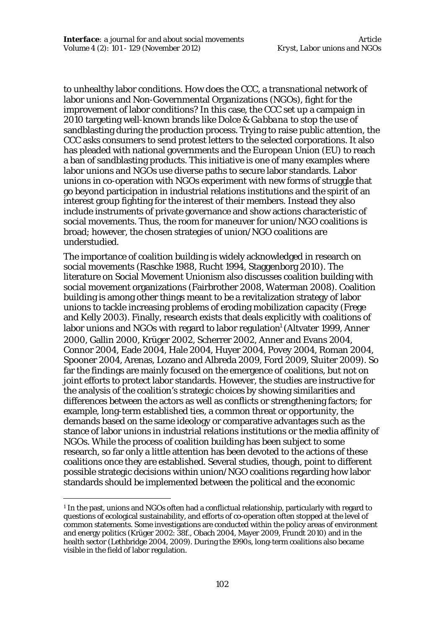to unhealthy labor conditions. How does the CCC, a transnational network of labor unions and Non-Governmental Organizations (NGOs), fight for the improvement of labor conditions? In this case, the CCC set up a campaign in 2010 targeting well-known brands like *Dolce & Gabbana* to stop the use of sandblasting during the production process. Trying to raise public attention, the CCC asks consumers to send protest letters to the selected corporations. It also has pleaded with national governments and the *European Union* (EU) to reach a ban of sandblasting products. This initiative is one of many examples where labor unions and NGOs use diverse paths to secure labor standards. Labor unions in co-operation with NGOs experiment with new forms of struggle that go beyond participation in industrial relations institutions and the spirit of an interest group fighting for the interest of their members. Instead they also include instruments of private governance and show actions characteristic of social movements. Thus, the room for maneuver for union/NGO coalitions is broad; however, the chosen strategies of union/NGO coalitions are understudied.

The importance of coalition building is widely acknowledged in research on social movements (Raschke 1988, Rucht 1994, Staggenborg 2010). The literature on Social Movement Unionism also discusses coalition building with social movement organizations (Fairbrother 2008, Waterman 2008). Coalition building is among other things meant to be a revitalization strategy of labor unions to tackle increasing problems of eroding mobilization capacity (Frege and Kelly 2003). Finally, research exists that deals explicitly with coalitions of labor unions and NGOs with regard to labor regulation<sup>1</sup> (Altvater 1999, Anner 2000, Gallin 2000, Krüger 2002, Scherrer 2002, Anner and Evans 2004, Connor 2004, Eade 2004, Hale 2004, Huyer 2004, Povey 2004, Roman 2004, Spooner 2004, Arenas, Lozano and Albreda 2009, Ford 2009, Sluiter 2009). So far the findings are mainly focused on the emergence of coalitions, but not on joint efforts to protect labor standards. However, the studies are instructive for the analysis of the coalition's strategic choices by showing similarities and differences between the actors as well as conflicts or strengthening factors; for example, long-term established ties, a common threat or opportunity, the demands based on the same ideology or comparative advantages such as the stance of labor unions in industrial relations institutions or the media affinity of NGOs. While the process of coalition building has been subject to some research, so far only a little attention has been devoted to the actions of these coalitions once they are established. Several studies, though, point to different possible strategic decisions within union/NGO coalitions regarding how labor standards should be implemented between the political and the economic

 $\overline{a}$ 

<sup>1</sup> In the past, unions and NGOs often had a conflictual relationship, particularly with regard to questions of ecological sustainability, and efforts of co-operation often stopped at the level of common statements. Some investigations are conducted within the policy areas of environment and energy politics (Krüger 2002: 38f., Obach 2004, Mayer 2009, Frundt 2010) and in the health sector (Lethbridge 2004, 2009). During the 1990s, long-term coalitions also became visible in the field of labor regulation.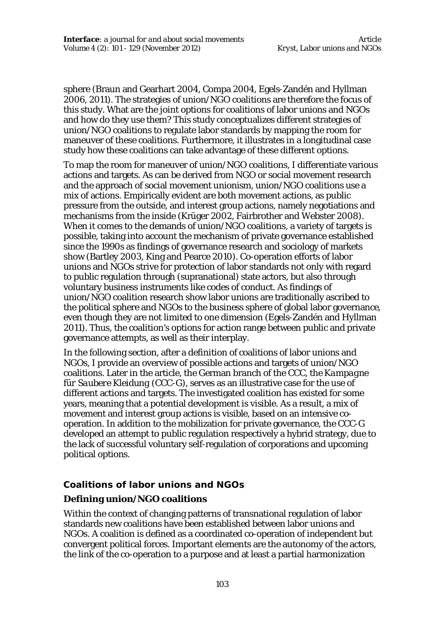sphere (Braun and Gearhart 2004, Compa 2004, Egels-Zandén and Hyllman 2006, 2011). The strategies of union/NGO coalitions are therefore the focus of this study. What are the joint options for coalitions of labor unions and NGOs and how do they use them? This study conceptualizes different strategies of union/NGO coalitions to regulate labor standards by mapping the room for maneuver of these coalitions. Furthermore, it illustrates in a longitudinal case study how these coalitions can take advantage of these different options.

To map the room for maneuver of union/NGO coalitions, I differentiate various actions and targets. As can be derived from NGO or social movement research and the approach of social movement unionism, union/NGO coalitions use a mix of actions. Empirically evident are both movement actions, as public pressure from the outside, and interest group actions, namely negotiations and mechanisms from the inside (Krüger 2002, Fairbrother and Webster 2008). When it comes to the demands of union/NGO coalitions, a variety of targets is possible, taking into account the mechanism of private governance established since the 1990s as findings of governance research and sociology of markets show (Bartley 2003, King and Pearce 2010). Co-operation efforts of labor unions and NGOs strive for protection of labor standards not only with regard to public regulation through (supranational) state actors, but also through voluntary business instruments like codes of conduct. As findings of union/NGO coalition research show labor unions are traditionally ascribed to the political sphere and NGOs to the business sphere of global labor governance, even though they are not limited to one dimension (Egels-Zandén and Hyllman 2011). Thus, the coalition's options for action range between public and private governance attempts, as well as their interplay.

In the following section, after a definition of coalitions of labor unions and NGOs, I provide an overview of possible actions and targets of union/NGO coalitions. Later in the article, the German branch of the CCC, the *Kampagne für Saubere Kleidung* (CCC-G), serves as an illustrative case for the use of different actions and targets. The investigated coalition has existed for some years, meaning that a potential development is visible. As a result, a mix of movement and interest group actions is visible, based on an intensive cooperation. In addition to the mobilization for private governance, the CCC-G developed an attempt to public regulation respectively a hybrid strategy, due to the lack of successful voluntary self-regulation of corporations and upcoming political options.

# **Coalitions of labor unions and NGOs**

# **Defining union/NGO coalitions**

Within the context of changing patterns of transnational regulation of labor standards new coalitions have been established between labor unions and NGOs. A coalition is defined as a coordinated co-operation of independent but convergent political forces. Important elements are the autonomy of the actors, the link of the co-operation to a purpose and at least a partial harmonization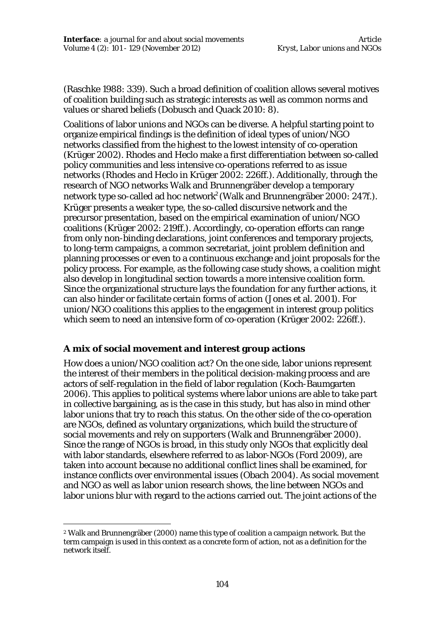(Raschke 1988: 339). Such a broad definition of coalition allows several motives of coalition building such as strategic interests as well as common norms and values or shared beliefs (Dobusch and Quack 2010: 8).

Coalitions of labor unions and NGOs can be diverse. A helpful starting point to organize empirical findings is the definition of ideal types of union/NGO networks classified from the highest to the lowest intensity of co-operation (Krüger 2002). Rhodes and Heclo make a first differentiation between so-called policy communities and less intensive co-operations referred to as issue networks (Rhodes and Heclo in Krüger 2002: 226ff.). Additionally, through the research of NGO networks Walk and Brunnengräber develop a temporary network type so-called ad hoc network<sup>2</sup> (Walk and Brunnengräber 2000: 247f.). Krüger presents a weaker type, the so-called discursive network and the precursor presentation, based on the empirical examination of union/NGO coalitions (Krüger 2002: 219ff.). Accordingly, co-operation efforts can range from only non-binding declarations, joint conferences and temporary projects, to long-term campaigns, a common secretariat, joint problem definition and planning processes or even to a continuous exchange and joint proposals for the policy process. For example, as the following case study shows, a coalition might also develop in longitudinal section towards a more intensive coalition form. Since the organizational structure lays the foundation for any further actions, it can also hinder or facilitate certain forms of action (Jones et al. 2001). For union/NGO coalitions this applies to the engagement in interest group politics which seem to need an intensive form of co-operation (Krüger 2002: 226ff.).

# **A mix of social movement and interest group actions**

How does a union/NGO coalition act? On the one side, labor unions represent the interest of their members in the political decision-making process and are actors of self-regulation in the field of labor regulation (Koch-Baumgarten 2006). This applies to political systems where labor unions are able to take part in collective bargaining, as is the case in this study, but has also in mind other labor unions that try to reach this status. On the other side of the co-operation are NGOs, defined as voluntary organizations, which build the structure of social movements and rely on supporters (Walk and Brunnengräber 2000). Since the range of NGOs is broad, in this study only NGOs that explicitly deal with labor standards, elsewhere referred to as labor-NGOs (Ford 2009), are taken into account because no additional conflict lines shall be examined, for instance conflicts over environmental issues (Obach 2004). As social movement and NGO as well as labor union research shows, the line between NGOs and labor unions blur with regard to the actions carried out. The joint actions of the

 $\overline{a}$ 

<sup>2</sup> Walk and Brunnengräber (2000) name this type of coalition a *campaign network*. But the term campaign is used in this context as a concrete form of action, not as a definition for the network itself.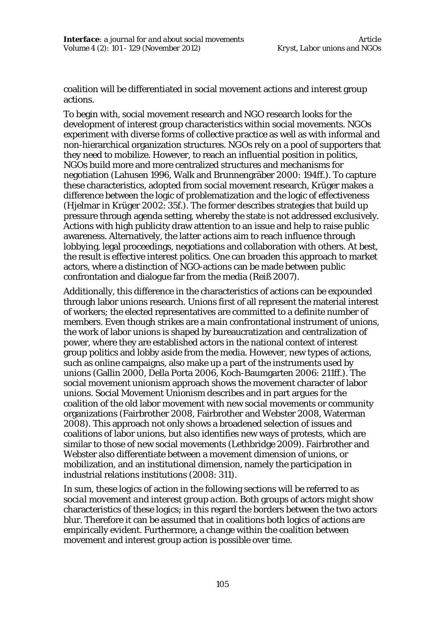coalition will be differentiated in social movement actions and interest group actions.

To begin with, social movement research and NGO research looks for the development of interest group characteristics within social movements. NGOs experiment with diverse forms of collective practice as well as with informal and non-hierarchical organization structures. NGOs rely on a pool of supporters that they need to mobilize. However, to reach an influential position in politics, NGOs build more and more centralized structures and mechanisms for negotiation (Lahusen 1996, Walk and Brunnengräber 2000: 194ff.). To capture these characteristics, adopted from social movement research, Krüger makes a difference between the logic of problematization and the logic of effectiveness (Hjelmar in Krüger 2002: 35f.). The former describes strategies that build up pressure through agenda setting, whereby the state is not addressed exclusively. Actions with high publicity draw attention to an issue and help to raise public awareness. Alternatively, the latter actions aim to reach influence through lobbying, legal proceedings, negotiations and collaboration with others. At best, the result is effective interest politics. One can broaden this approach to market actors, where a distinction of NGO-actions can be made between public confrontation and dialogue far from the media (Reiß 2007).

Additionally, this difference in the characteristics of actions can be expounded through labor unions research. Unions first of all represent the material interest of workers; the elected representatives are committed to a definite number of members. Even though strikes are a main confrontational instrument of unions, the work of labor unions is shaped by bureaucratization and centralization of power, where they are established actors in the national context of interest group politics and lobby aside from the media. However, new types of actions, such as online campaigns, also make up a part of the instruments used by unions (Gallin 2000, Della Porta 2006, Koch-Baumgarten 2006: 211ff.). The social movement unionism approach shows the movement character of labor unions. Social Movement Unionism describes and in part argues for the coalition of the old labor movement with new social movements or community organizations (Fairbrother 2008, Fairbrother and Webster 2008, Waterman 2008). This approach not only shows a broadened selection of issues and coalitions of labor unions, but also identifies new ways of protests, which are similar to those of new social movements (Lethbridge 2009). Fairbrother and Webster also differentiate between a movement dimension of unions, or mobilization, and an institutional dimension, namely the participation in industrial relations institutions (2008: 311).

In sum, these logics of action in the following sections will be referred to as *social movement and interest group action.* Both groups of actors might show characteristics of these logics; in this regard the borders between the two actors blur. Therefore it can be assumed that in coalitions both logics of actions are empirically evident. Furthermore, a change within the coalition between movement and interest group action is possible over time.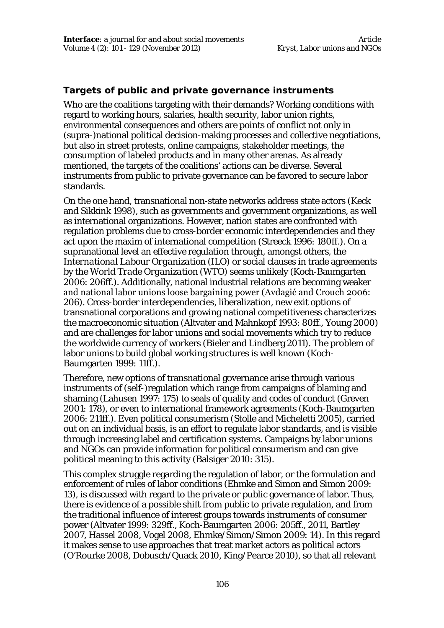# **Targets of public and private governance instruments**

Who are the coalitions targeting with their demands? Working conditions with regard to working hours, salaries, health security, labor union rights, environmental consequences and others are points of conflict not only in (supra-)national political decision-making processes and collective negotiations, but also in street protests, online campaigns, stakeholder meetings, the consumption of labeled products and in many other arenas. As already mentioned, the targets of the coalitions' actions can be diverse. Several instruments from public to private governance can be favored to secure labor standards.

On the one hand, transnational non-state networks address state actors (Keck and Sikkink 1998), such as governments and government organizations, as well as international organizations. However, nation states are confronted with regulation problems due to cross-border economic interdependencies and they act upon the maxim of international competition (Streeck 1996: 180ff.). On a supranational level an effective regulation through, amongst others, the *International Labour Organization* (ILO) or social clauses in trade agreements by the *World Trade Organization* (WTO) seems unlikely (Koch-Baumgarten 2006: 206ff.). Additionally, national industrial relations are becoming weaker and national labor unions loose bargaining power (Avdagić and Crouch 2006: 206). Cross-border interdependencies, liberalization, new exit options of transnational corporations and growing national competitiveness characterizes the macroeconomic situation (Altvater and Mahnkopf 1993: 80ff., Young 2000) and are challenges for labor unions and social movements which try to reduce the worldwide currency of workers (Bieler and Lindberg 2011). The problem of labor unions to build global working structures is well known (Koch-Baumgarten 1999: 11ff.).

Therefore, new options of transnational governance arise through various instruments of (self-)regulation which range from campaigns of blaming and shaming (Lahusen 1997: 175) to seals of quality and codes of conduct (Greven 2001: 178), or even to international framework agreements (Koch-Baumgarten 2006: 211ff.). Even political consumerism (Stolle and Micheletti 2005), carried out on an individual basis, is an effort to regulate labor standards, and is visible through increasing label and certification systems. Campaigns by labor unions and NGOs can provide information for political consumerism and can give political meaning to this activity (Balsiger 2010: 315).

This complex struggle regarding the regulation of labor, or the formulation and enforcement of rules of labor conditions (Ehmke and Simon and Simon 2009: 13), is discussed with regard to the private or public governance of labor. Thus, there is evidence of a possible shift from public to private regulation, and from the traditional influence of interest groups towards instruments of consumer power (Altvater 1999: 329ff., Koch-Baumgarten 2006: 205ff., 2011, Bartley 2007, Hassel 2008, Vogel 2008, Ehmke/Simon/Simon 2009: 14). In this regard it makes sense to use approaches that treat market actors as political actors (O'Rourke 2008, Dobusch/Quack 2010, King/Pearce 2010), so that all relevant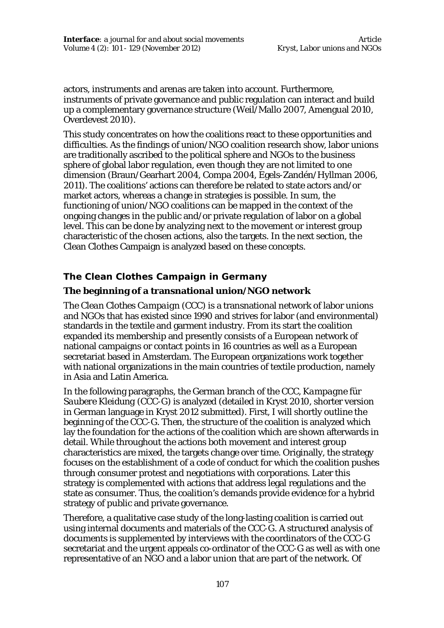actors, instruments and arenas are taken into account. Furthermore, instruments of private governance and public regulation can interact and build up a complementary governance structure (Weil/Mallo 2007, Amengual 2010, Overdevest 2010).

This study concentrates on how the coalitions react to these opportunities and difficulties. As the findings of union/NGO coalition research show, labor unions are traditionally ascribed to the political sphere and NGOs to the business sphere of global labor regulation, even though they are not limited to one dimension (Braun/Gearhart 2004, Compa 2004, Egels-Zandén/Hyllman 2006, 2011). The coalitions' actions can therefore be related to state actors and/or market actors, whereas a change in strategies is possible. In sum, the functioning of union/NGO coalitions can be mapped in the context of the ongoing changes in the public and/or private regulation of labor on a global level. This can be done by analyzing next to the movement or interest group characteristic of the chosen actions, also the targets. In the next section, the Clean Clothes Campaign is analyzed based on these concepts.

# **The Clean Clothes Campaign in Germany**

# **The beginning of a transnational union/NGO network**

The *Clean Clothes Campaign* (CCC) is a transnational network of labor unions and NGOs that has existed since 1990 and strives for labor (and environmental) standards in the textile and garment industry. From its start the coalition expanded its membership and presently consists of a European network of national campaigns or contact points in 16 countries as well as a European secretariat based in Amsterdam. The European organizations work together with national organizations in the main countries of textile production, namely in Asia and Latin America.

In the following paragraphs, the German branch of the CCC, *Kampagne für Saubere Kleidung* (CCC-G) is analyzed (detailed in Kryst 2010, shorter version in German language in Kryst 2012 submitted). First, I will shortly outline the beginning of the CCC-G. Then, the structure of the coalition is analyzed which lay the foundation for the actions of the coalition which are shown afterwards in detail. While throughout the actions both movement and interest group characteristics are mixed, the targets change over time. Originally, the strategy focuses on the establishment of a code of conduct for which the coalition pushes through consumer protest and negotiations with corporations. Later this strategy is complemented with actions that address legal regulations and the state as consumer. Thus, the coalition's demands provide evidence for a hybrid strategy of public and private governance.

Therefore, a qualitative case study of the long-lasting coalition is carried out using internal documents and materials of the CCC-G. A structured analysis of documents is supplemented by interviews with the coordinators of the CCC-G secretariat and the urgent appeals co-ordinator of the CCC-G as well as with one representative of an NGO and a labor union that are part of the network. Of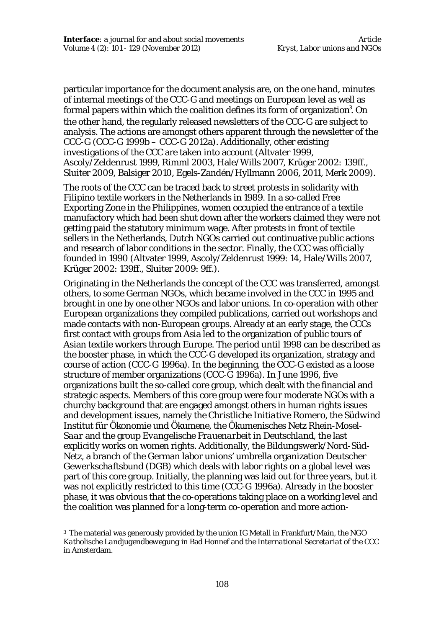particular importance for the document analysis are, on the one hand, minutes of internal meetings of the CCC-G and meetings on European level as well as formal papers within which the coalition defines its form of organization $^3$ . On the other hand, the regularly released newsletters of the CCC-G are subject to analysis. The actions are amongst others apparent through the newsletter of the CCC-G (CCC-G 1999b – CCC-G 2012a). Additionally, other existing investigations of the CCC are taken into account (Altvater 1999, Ascoly/Zeldenrust 1999, Rimml 2003, Hale/Wills 2007, Krüger 2002: 139ff., Sluiter 2009, Balsiger 2010, Egels-Zandén/Hyllmann 2006, 2011, Merk 2009).

The roots of the CCC can be traced back to street protests in solidarity with Filipino textile workers in the Netherlands in 1989. In a so-called Free Exporting Zone in the Philippines, women occupied the entrance of a textile manufactory which had been shut down after the workers claimed they were not getting paid the statutory minimum wage. After protests in front of textile sellers in the Netherlands, Dutch NGOs carried out continuative public actions and research of labor conditions in the sector. Finally, the CCC was officially founded in 1990 (Altvater 1999, Ascoly/Zeldenrust 1999: 14, Hale/Wills 2007, Krüger 2002: 139ff., Sluiter 2009: 9ff.).

Originating in the Netherlands the concept of the CCC was transferred, amongst others, to some German NGOs, which became involved in the CCC in 1995 and brought in one by one other NGOs and labor unions. In co-operation with other European organizations they compiled publications, carried out workshops and made contacts with non-European groups. Already at an early stage, the CCCs first contact with groups from Asia led to the organization of public tours of Asian textile workers through Europe. The period until 1998 can be described as the booster phase, in which the CCC-G developed its organization, strategy and course of action (CCC-G 1996a). In the beginning, the CCC-G existed as a loose structure of member organizations (CCC-G 1996a). In June 1996, five organizations built the so-called core group, which dealt with the financial and strategic aspects. Members of this core group were four moderate NGOs with a churchy background that are engaged amongst others in human rights issues and development issues, namely the *Christliche Initiative Romero*, the *Südwind Institut für Ökonomie und Ökumene*, the *Ökumenisches Netz Rhein-Mosel-Saar* and the group *Evangelische Frauenarbeit in Deutschland*, the last explicitly works on women rights. Additionally, the *Bildungswerk/Nord-Süd-Netz*, a branch of the German labor unions' umbrella organization *Deutscher Gewerkschaftsbund (DGB)* which deals with labor rights on a global level was part of this core group. Initially, the planning was laid out for three years, but it was not explicitly restricted to this time (CCC-G 1996a). Already in the booster phase, it was obvious that the co-operations taking place on a working level and the coalition was planned for a long-term co-operation and more action-

 $\overline{a}$ 

<sup>3</sup> The material was generously provided by the union *IG Metall* in Frankfurt/Main, the NGO *Katholische Landjugendbewegung* in Bad Honnef and the *International Secretariat* of the CCC in Amsterdam.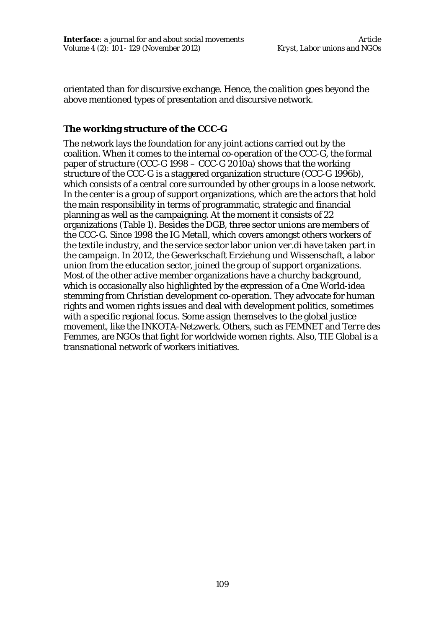orientated than for discursive exchange. Hence, the coalition goes beyond the above mentioned types of presentation and discursive network.

# **The working structure of the CCC-G**

The network lays the foundation for any joint actions carried out by the coalition. When it comes to the internal co-operation of the CCC-G, the formal paper of structure (CCC-G 1998 – CCC-G 2010a) shows that the working structure of the CCC-G is a staggered organization structure (CCC-G 1996b), which consists of a central core surrounded by other groups in a loose network. In the center is a group of support organizations, which are the actors that hold the main responsibility in terms of programmatic, strategic and financial planning as well as the campaigning. At the moment it consists of 22 organizations (Table 1). Besides the DGB, three sector unions are members of the CCC-G. Since 1998 the *IG Metall*, which covers amongst others workers of the textile industry, and the service sector labor union *ver.di* have taken part in the campaign. In 2012, the *Gewerkschaft Erziehung und Wissenschaft*, a labor union from the education sector, joined the group of support organizations. Most of the other active member organizations have a churchy background, which is occasionally also highlighted by the expression of a One World-idea stemming from Christian development co-operation. They advocate for human rights and women rights issues and deal with development politics, sometimes with a specific regional focus. Some assign themselves to the global justice movement, like the *INKOTA-Netzwerk*. Others, such as *FEMNET* and *Terre des Femmes,* are NGOs that fight for worldwide women rights. Also, *TIE Global* is a transnational network of workers initiatives.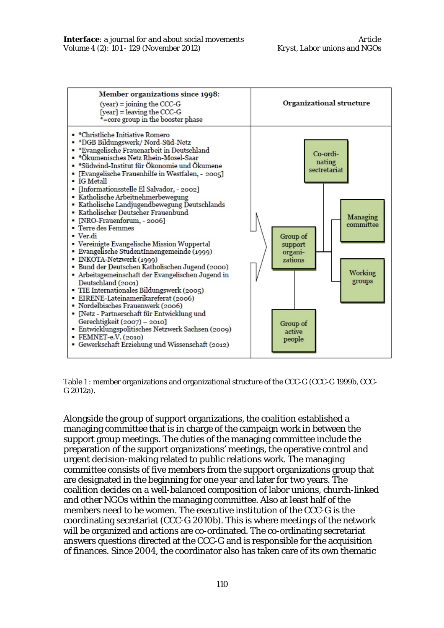| Member organizations since 1998:<br>$(year) = joining the CCC-G$<br>[year] = leaving the CCC-G<br>*=core group in the booster phase                                                                                                                                                                                                                                                                                                                                                                                                                                                                                                                                                                                                                                                                                                                                                                                                                                                                                                                                                                                                                  | Organizational structure                                                                                                                                      |
|------------------------------------------------------------------------------------------------------------------------------------------------------------------------------------------------------------------------------------------------------------------------------------------------------------------------------------------------------------------------------------------------------------------------------------------------------------------------------------------------------------------------------------------------------------------------------------------------------------------------------------------------------------------------------------------------------------------------------------------------------------------------------------------------------------------------------------------------------------------------------------------------------------------------------------------------------------------------------------------------------------------------------------------------------------------------------------------------------------------------------------------------------|---------------------------------------------------------------------------------------------------------------------------------------------------------------|
| • *Christliche Initiative Romero<br>• *DGB Bildungswerk/ Nord-Süd-Netz<br>• *Evangelische Frauenarbeit in Deutschland<br>• *Ökumenisches Netz Rhein-Mosel-Saar<br>• *Südwind-Institut für Ökonomie und Ökumene<br>• [Evangelische Frauenhilfe in Westfalen, - 2005]<br>• IG Metall<br>• [Informationsstelle El Salvador, - 2002]<br>· Katholische Arbeitnehmerbewegung<br>• Katholische Landjugendbewegung Deutschlands<br>• Katholischer Deutscher Frauenbund<br>• [NRO-Frauenforum, - 2006]<br>• Terre des Femmes<br>$\blacktriangleright$ Ver.di<br>• Vereinigte Evangelische Mission Wuppertal<br>• Evangelische StudentInnengemeinde (1999)<br>• INKOTA-Netzwerk (1999)<br>• Bund der Deutschen Katholischen Jugend (2000)<br>• Arbeitsgemeinschaft der Evangelischen Jugend in<br>Deutschland (2001)<br>• TIE Internationales Bildungswerk (2005)<br>· EIRENE-Lateinamerikareferat (2006)<br>• Nordelbisches Frauenwerk (2006)<br>• [Netz - Partnerschaft für Entwicklung und<br>Gerechtigkeit (2007) – 2010]<br>• Entwicklungspolitisches Netzwerk Sachsen (2009)<br>• FEMNET-e.V. (2010)<br>• Gewerkschaft Erziehung und Wissenschaft (2012) | Co-ordi-<br>nating<br>sectretariat<br>Managing<br>committee<br>Group of<br>support<br>organi-<br>zations<br>Working<br>groups<br>Group of<br>active<br>people |

Table 1 : member organizations and organizational structure of the CCC-G (CCC-G 1999b, CCC-G 2012a).

Alongside the group of support organizations, the coalition established a managing committee that is in charge of the campaign work in between the support group meetings. The duties of the managing committee include the preparation of the support organizations' meetings, the operative control and urgent decision-making related to public relations work. The managing committee consists of five members from the support organizations group that are designated in the beginning for one year and later for two years. The coalition decides on a well-balanced composition of labor unions, church-linked and other NGOs within the managing committee. Also at least half of the members need to be women. The executive institution of the CCC-G is the coordinating secretariat (CCC-G 2010b). This is where meetings of the network will be organized and actions are co-ordinated. The co-ordinating secretariat answers questions directed at the CCC-G and is responsible for the acquisition of finances. Since 2004, the coordinator also has taken care of its own thematic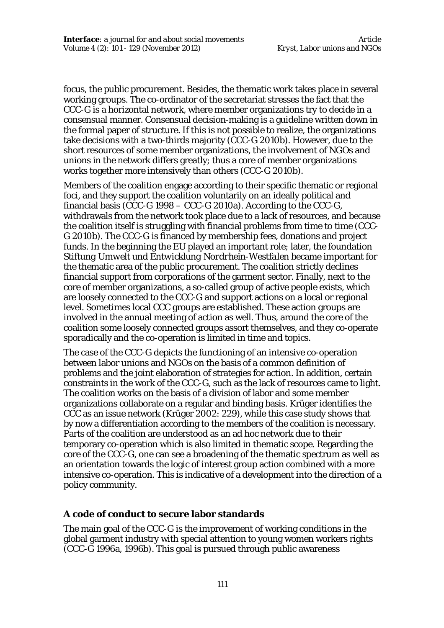focus, the public procurement. Besides, the thematic work takes place in several working groups. The co-ordinator of the secretariat stresses the fact that the CCC-G is a horizontal network, where member organizations try to decide in a consensual manner. Consensual decision-making is a guideline written down in the formal paper of structure. If this is not possible to realize, the organizations take decisions with a two-thirds majority (CCC-G 2010b). However, due to the short resources of some member organizations, the involvement of NGOs and unions in the network differs greatly; thus a core of member organizations works together more intensively than others (CCC-G 2010b).

Members of the coalition engage according to their specific thematic or regional foci, and they support the coalition voluntarily on an ideally political and financial basis (CCC-G 1998 – CCC-G 2010a). According to the CCC-G, withdrawals from the network took place due to a lack of resources, and because the coalition itself is struggling with financial problems from time to time (CCC-G 2010b). The CCC-G is financed by membership fees, donations and project funds. In the beginning the EU played an important role; later, the foundation *Stiftung Umwelt und Entwicklung Nordrhein-Westfalen* became important for the thematic area of the public procurement. The coalition strictly declines financial support from corporations of the garment sector. Finally, next to the core of member organizations, a so-called group of active people exists, which are loosely connected to the CCC-G and support actions on a local or regional level. Sometimes local CCC groups are established. These action groups are involved in the annual meeting of action as well. Thus, around the core of the coalition some loosely connected groups assort themselves, and they co-operate sporadically and the co-operation is limited in time and topics.

The case of the CCC-G depicts the functioning of an intensive co-operation between labor unions and NGOs on the basis of a common definition of problems and the joint elaboration of strategies for action. In addition, certain constraints in the work of the CCC-G, such as the lack of resources came to light. The coalition works on the basis of a division of labor and some member organizations collaborate on a regular and binding basis. Krüger identifies the CCC as an issue network (Krüger 2002: 229), while this case study shows that by now a differentiation according to the members of the coalition is necessary. Parts of the coalition are understood as an ad hoc network due to their temporary co-operation which is also limited in thematic scope. Regarding the core of the CCC-G, one can see a broadening of the thematic spectrum as well as an orientation towards the logic of interest group action combined with a more intensive co-operation. This is indicative of a development into the direction of a policy community.

# **A code of conduct to secure labor standards**

The main goal of the CCC-G is the improvement of working conditions in the global garment industry with special attention to young women workers rights (CCC-G 1996a, 1996b). This goal is pursued through public awareness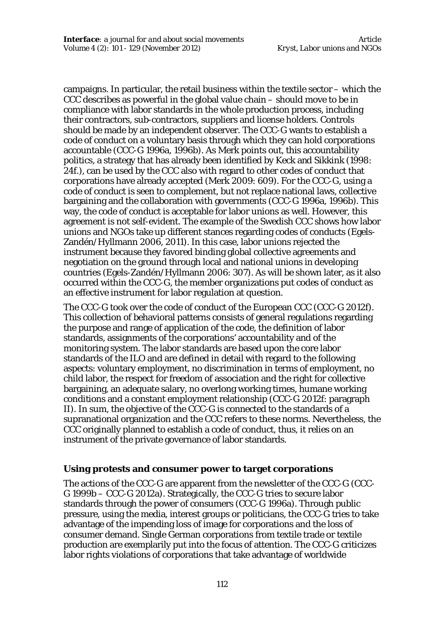campaigns. In particular, the retail business within the textile sector – which the CCC describes as powerful in the global value chain – should move to be in compliance with labor standards in the whole production process, including their contractors, sub-contractors, suppliers and license holders. Controls should be made by an independent observer. The CCC-G wants to establish a code of conduct on a voluntary basis through which they can hold corporations accountable (CCC-G 1996a, 1996b). As Merk points out, this accountability politics, a strategy that has already been identified by Keck and Sikkink (1998: 24f.), can be used by the CCC also with regard to other codes of conduct that corporations have already accepted (Merk 2009: 609). For the CCC-G, using a code of conduct is seen to complement, but not replace national laws, collective bargaining and the collaboration with governments (CCC-G 1996a, 1996b). This way, the code of conduct is acceptable for labor unions as well. However, this agreement is not self-evident. The example of the Swedish CCC shows how labor unions and NGOs take up different stances regarding codes of conducts (Egels-Zandén/Hyllmann 2006, 2011). In this case, labor unions rejected the instrument because they favored binding global collective agreements and negotiation on the ground through local and national unions in developing countries (Egels-Zandén/Hyllmann 2006: 307). As will be shown later, as it also occurred within the CCC-G, the member organizations put codes of conduct as an effective instrument for labor regulation at question.

The CCC-G took over the code of conduct of the European CCC (CCC-G 2012f). This collection of behavioral patterns consists of general regulations regarding the purpose and range of application of the code, the definition of labor standards, assignments of the corporations' accountability and of the monitoring system. The labor standards are based upon the core labor standards of the ILO and are defined in detail with regard to the following aspects: voluntary employment, no discrimination in terms of employment, no child labor, the respect for freedom of association and the right for collective bargaining, an adequate salary, no overlong working times, humane working conditions and a constant employment relationship (CCC-G 2012f: paragraph II). In sum, the objective of the CCC-G is connected to the standards of a supranational organization and the CCC refers to these norms. Nevertheless, the CCC originally planned to establish a code of conduct, thus, it relies on an instrument of the private governance of labor standards.

#### **Using protests and consumer power to target corporations**

The actions of the CCC-G are apparent from the newsletter of the CCC-G (CCC-G 1999b – CCC-G 2012a). Strategically, the CCC-G tries to secure labor standards through the power of consumers (CCC-G 1996a). Through public pressure, using the media, interest groups or politicians, the CCC-G tries to take advantage of the impending loss of image for corporations and the loss of consumer demand. Single German corporations from textile trade or textile production are exemplarily put into the focus of attention. The CCC-G criticizes labor rights violations of corporations that take advantage of worldwide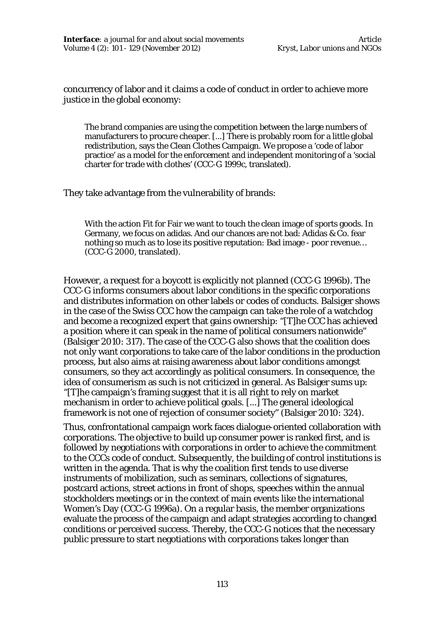concurrency of labor and it claims a code of conduct in order to achieve more justice in the global economy:

The brand companies are using the competition between the large numbers of manufacturers to procure cheaper. [...] There is probably room for a little global redistribution, says the Clean Clothes Campaign. We propose a 'code of labor practice' as a model for the enforcement and independent monitoring of a 'social charter for trade with clothes' (CCC-G 1999c, translated).

They take advantage from the vulnerability of brands:

With the action Fit for Fair we want to touch the clean image of sports goods. In Germany, we focus on adidas. And our chances are not bad: Adidas & Co. fear nothing so much as to lose its positive reputation: Bad image - poor revenue… (CCC-G 2000, translated).

However, a request for a boycott is explicitly not planned (CCC-G 1996b). The CCC-G informs consumers about labor conditions in the specific corporations and distributes information on other labels or codes of conducts. Balsiger shows in the case of the Swiss CCC how the campaign can take the role of a watchdog and become a recognized expert that gains ownership: "[T]he CCC has achieved a position where it can speak *in the name of* political consumers nationwide" (Balsiger 2010: 317). The case of the CCC-G also shows that the coalition does not only want corporations to take care of the labor conditions in the production process, but also aims at raising awareness about labor conditions amongst consumers, so they act accordingly as political consumers. In consequence, the idea of consumerism as such is not criticized in general. As Balsiger sums up: "[T]he campaign's framing suggest that it is all right to rely on market mechanism in order to achieve political goals. [...] The general ideological framework is not one of rejection of consumer society" (Balsiger 2010: 324).

Thus, confrontational campaign work faces dialogue-oriented collaboration with corporations. The objective to build up consumer power is ranked first, and is followed by negotiations with corporations in order to achieve the commitment to the CCCs code of conduct. Subsequently, the building of control institutions is written in the agenda. That is why the coalition first tends to use diverse instruments of mobilization, such as seminars, collections of signatures, postcard actions, street actions in front of shops, speeches within the annual stockholders meetings or in the context of main events like the international Women's Day (CCC-G 1996a). On a regular basis, the member organizations evaluate the process of the campaign and adapt strategies according to changed conditions or perceived success. Thereby, the CCC-G notices that the necessary public pressure to start negotiations with corporations takes longer than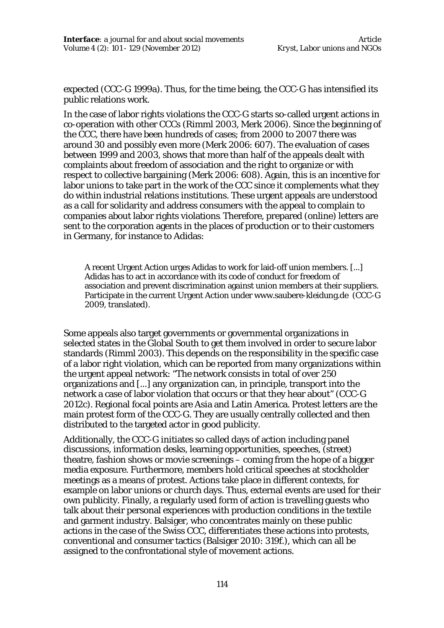expected (CCC-G 1999a). Thus, for the time being, the CCC-G has intensified its public relations work.

In the case of labor rights violations the CCC-G starts so-called urgent actions in co-operation with other CCCs (Rimml 2003, Merk 2006). Since the beginning of the CCC, there have been hundreds of cases; from 2000 to 2007 there was around 30 and possibly even more (Merk 2006: 607). The evaluation of cases between 1999 and 2003, shows that more than half of the appeals dealt with complaints about freedom of association and the right to organize or with respect to collective bargaining (Merk 2006: 608). Again, this is an incentive for labor unions to take part in the work of the CCC since it complements what they do within industrial relations institutions. These urgent appeals are understood as a call for solidarity and address consumers with the appeal to complain to companies about labor rights violations. Therefore, prepared (online) letters are sent to the corporation agents in the places of production or to their customers in Germany, for instance to Adidas:

A recent Urgent Action urges Adidas to work for laid-off union members. [...] Adidas has to act in accordance with its code of conduct for freedom of association and prevent discrimination against union members at their suppliers. Participate in the current Urgent Action under www.saubere-kleidung.de (CCC-G 2009, translated).

Some appeals also target governments or governmental organizations in selected states in the Global South to get them involved in order to secure labor standards (Rimml 2003). This depends on the responsibility in the specific case of a labor right violation, which can be reported from many organizations within the urgent appeal network: "The network consists in total of over 250 organizations and [...] any organization can, in principle, transport into the network a case of labor violation that occurs or that they hear about" (CCC-G 2012c). Regional focal points are Asia and Latin America. Protest letters are the main protest form of the CCC-G. They are usually centrally collected and then distributed to the targeted actor in good publicity.

Additionally, the CCC-G initiates so called days of action including panel discussions, information desks, learning opportunities, speeches, (street) theatre, fashion shows or movie screenings – coming from the hope of a bigger media exposure. Furthermore, members hold critical speeches at stockholder meetings as a means of protest. Actions take place in different contexts, for example on labor unions or church days. Thus, external events are used for their own publicity. Finally, a regularly used form of action is travelling guests who talk about their personal experiences with production conditions in the textile and garment industry. Balsiger, who concentrates mainly on these public actions in the case of the Swiss CCC, differentiates these actions into protests, conventional and consumer tactics (Balsiger 2010: 319f.), which can all be assigned to the confrontational style of movement actions.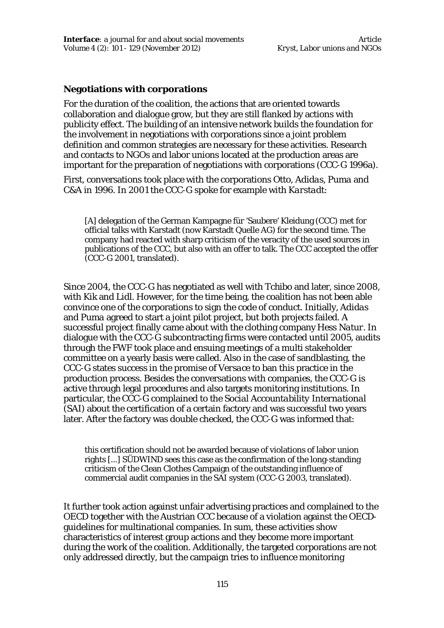# **Negotiations with corporations**

For the duration of the coalition, the actions that are oriented towards collaboration and dialogue grow, but they are still flanked by actions with publicity effect. The building of an intensive network builds the foundation for the involvement in negotiations with corporations since a joint problem definition and common strategies are necessary for these activities. Research and contacts to NGOs and labor unions located at the production areas are important for the preparation of negotiations with corporations (CCC-G 1996a).

First, conversations took place with the corporations *Otto*, *Adidas*, *Puma* and *C&A* in 1996. In 2001 the CCC-G spoke for example with *Karstadt*:

[A] delegation of the German Kampagne für 'Saubere' Kleidung (CCC) met for official talks with Karstadt (now Karstadt Quelle AG) for the second time. The company had reacted with sharp criticism of the veracity of the used sources in publications of the CCC, but also with an offer to talk. The CCC accepted the offer (CCC-G 2001, translated).

Since 2004, the CCC-G has negotiated as well with *Tchibo* and later, since 2008, with *Kik* and *Lidl.* However, for the time being, the coalition has not been able convince one of the corporations to sign the code of conduct. Initially, *Adidas* and *Puma* agreed to start a joint pilot project, but both projects failed. A successful project finally came about with the clothing company *Hess Natur*. In dialogue with the CCC-G subcontracting firms were contacted until 2005, audits through the FWF took place and ensuing meetings of a multi stakeholder committee on a yearly basis were called. Also in the case of sandblasting, the CCC-G states success in the promise of *Versace* to ban this practice in the production process. Besides the conversations with companies, the CCC-G is active through legal procedures and also targets monitoring institutions. In particular, the CCC-G complained to the *Social Accountability International (SAI)* about the certification of a certain factory and was successful two years later. After the factory was double checked, the CCC-G was informed that:

this certification should not be awarded because of violations of labor union rights [...] SÜDWIND sees this case as the confirmation of the long-standing criticism of the Clean Clothes Campaign of the outstanding influence of commercial audit companies in the SAI system (CCC-G 2003, translated).

It further took action against unfair advertising practices and complained to the OECD together with the Austrian CCC because of a violation against the OECDguidelines for multinational companies. In sum, these activities show characteristics of interest group actions and they become more important during the work of the coalition. Additionally, the targeted corporations are not only addressed directly, but the campaign tries to influence monitoring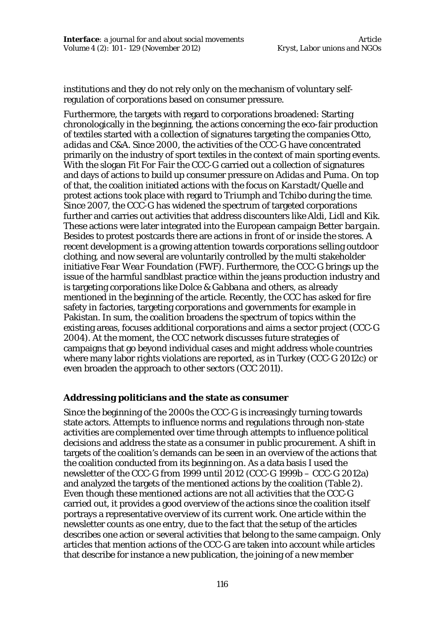institutions and they do not rely only on the mechanism of voluntary selfregulation of corporations based on consumer pressure.

Furthermore, the targets with regard to corporations broadened: Starting chronologically in the beginning, the actions concerning the eco-fair production of textiles started with a collection of signatures targeting the companies *Otto, adidas* and *C&A*. Since 2000, the activities of the CCC-G have concentrated primarily on the industry of sport textiles in the context of main sporting events. With the slogan *Fit For Fai*r the CCC-G carried out a collection of signatures and days of actions to build up consumer pressure on *Adidas* and *Puma*. On top of that, the coalition initiated actions with the focus on *Karstadt/Quelle* and protest actions took place with regard to *Triumph* and *Tchibo* during the time. Since 2007, the CCC-G has widened the spectrum of targeted corporations further and carries out activities that address discounters like *Aldi*, *Lidl* and *Kik*. These actions were later integrated into the European campaign *Better bargain*. Besides to protest postcards there are actions in front of or inside the stores. A recent development is a growing attention towards corporations selling outdoor clothing, and now several are voluntarily controlled by the multi stakeholder initiative *Fear Wear Foundation* (FWF). Furthermore, the CCC-G brings up the issue of the harmful sandblast practice within the jeans production industry and is targeting corporations like *Dolce & Gabbana* and others, as already mentioned in the beginning of the article. Recently, the CCC has asked for fire safety in factories, targeting corporations and governments for example in Pakistan. In sum, the coalition broadens the spectrum of topics within the existing areas, focuses additional corporations and aims a sector project (CCC-G 2004). At the moment, the CCC network discusses future strategies of campaigns that go beyond individual cases and might address whole countries where many labor rights violations are reported, as in Turkey (CCC-G 2012c) or even broaden the approach to other sectors (CCC 2011).

#### **Addressing politicians and the state as consumer**

Since the beginning of the 2000s the CCC-G is increasingly turning towards state actors. Attempts to influence norms and regulations through non-state activities are complemented over time through attempts to influence political decisions and address the state as a consumer in public procurement. A shift in targets of the coalition's demands can be seen in an overview of the actions that the coalition conducted from its beginning on. As a data basis I used the newsletter of the CCC-G from 1999 until 2012 (CCC-G 1999b – CCC-G 2012a) and analyzed the targets of the mentioned actions by the coalition (Table 2). Even though these mentioned actions are not all activities that the CCC-G carried out, it provides a good overview of the actions since the coalition itself portrays a representative overview of its current work. One article within the newsletter counts as one entry, due to the fact that the setup of the articles describes one action or several activities that belong to the same campaign. Only articles that mention actions of the CCC-G are taken into account while articles that describe for instance a new publication, the joining of a new member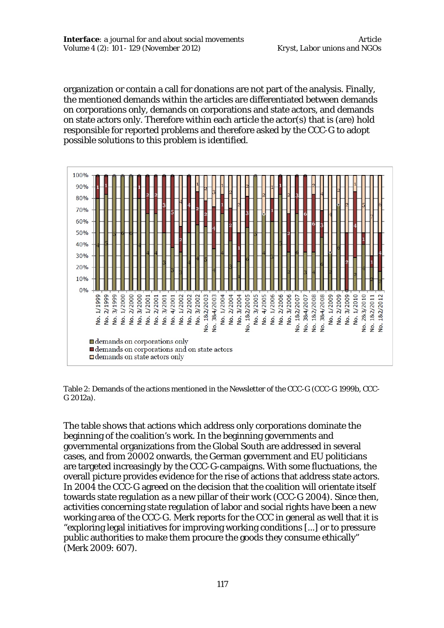organization or contain a call for donations are not part of the analysis. Finally, the mentioned demands within the articles are differentiated between demands on corporations only, demands on corporations and state actors, and demands on state actors only. Therefore within each article the actor(s) that is (are) hold responsible for reported problems and therefore asked by the CCC-G to adopt possible solutions to this problem is identified.



Table 2: Demands of the actions mentioned in the Newsletter of the CCC-G (CCC-G 1999b, CCC-G 2012a).

The table shows that actions which address only corporations dominate the beginning of the coalition's work. In the beginning governments and governmental organizations from the Global South are addressed in several cases, and from 20002 onwards, the German government and EU politicians are targeted increasingly by the CCC-G-campaigns. With some fluctuations, the overall picture provides evidence for the rise of actions that address state actors. In 2004 the CCC-G agreed on the decision that the coalition will orientate itself towards state regulation as a new pillar of their work (CCC-G 2004). Since then, activities concerning state regulation of labor and social rights have been a new working area of the CCC-G. Merk reports for the CCC in general as well that it is "exploring legal initiatives for improving working conditions [...] or to pressure public authorities to make them procure the goods they consume ethically" (Merk 2009: 607).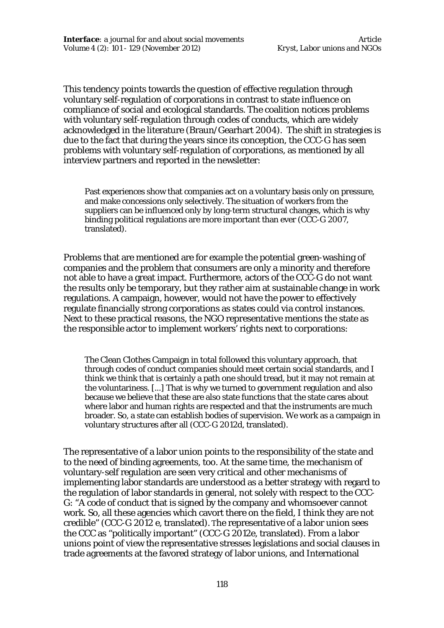This tendency points towards the question of effective regulation through voluntary self-regulation of corporations in contrast to state influence on compliance of social and ecological standards. The coalition notices problems with voluntary self-regulation through codes of conducts, which are widely acknowledged in the literature (Braun/Gearhart 2004). The shift in strategies is due to the fact that during the years since its conception, the CCC-G has seen problems with voluntary self-regulation of corporations, as mentioned by all interview partners and reported in the newsletter:

Past experiences show that companies act on a voluntary basis only on pressure, and make concessions only selectively. The situation of workers from the suppliers can be influenced only by long-term structural changes, which is why binding political regulations are more important than ever (CCC-G 2007, translated).

Problems that are mentioned are for example the potential green-washing of companies and the problem that consumers are only a minority and therefore not able to have a great impact. Furthermore, actors of the CCC-G do not want the results only be temporary, but they rather aim at sustainable change in work regulations. A campaign, however, would not have the power to effectively regulate financially strong corporations as states could via control instances. Next to these practical reasons, the NGO representative mentions the state as the responsible actor to implement workers' rights next to corporations:

The Clean Clothes Campaign in total followed this voluntary approach, that through codes of conduct companies should meet certain social standards, and I think we think that is certainly a path one should tread, but it may not remain at the voluntariness. [...] That is why we turned to government regulation and also because we believe that these are also state functions that the state cares about where labor and human rights are respected and that the instruments are much broader. So, a state can establish bodies of supervision. We work as a campaign in voluntary structures after all (CCC-G 2012d, translated).

The representative of a labor union points to the responsibility of the state and to the need of binding agreements, too. At the same time, the mechanism of voluntary-self regulation are seen very critical and other mechanisms of implementing labor standards are understood as a better strategy with regard to the regulation of labor standards in general, not solely with respect to the CCC-G: "A code of conduct that is signed by the company and whomsoever cannot work. So, all these agencies which cavort there on the field, I think they are not credible" (CCC-G 2012 e, translated). The representative of a labor union sees the CCC as "politically important" (CCC-G 2012e, translated). From a labor unions point of view the representative stresses legislations and social clauses in trade agreements at the favored strategy of labor unions, and International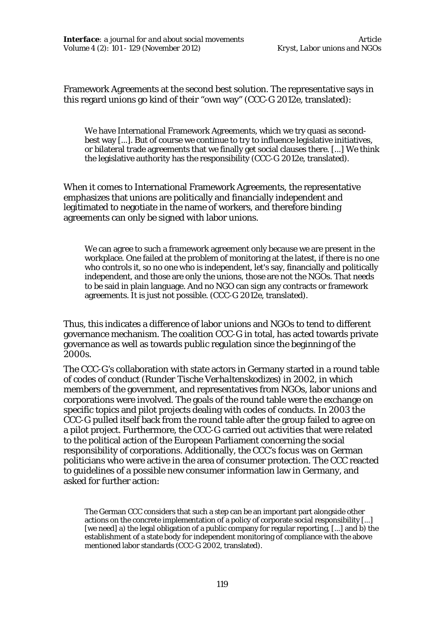Framework Agreements at the second best solution. The representative says in this regard unions go kind of their "own way" (CCC-G 2012e, translated):

We have International Framework Agreements, which we try quasi as secondbest way [...]. But of course we continue to try to influence legislative initiatives, or bilateral trade agreements that we finally get social clauses there. [...] We think the legislative authority has the responsibility (CCC-G 2012e, translated).

When it comes to International Framework Agreements, the representative emphasizes that unions are politically and financially independent and legitimated to negotiate in the name of workers, and therefore binding agreements can only be signed with labor unions.

We can agree to such a framework agreement only because we are present in the workplace. One failed at the problem of monitoring at the latest, if there is no one who controls it, so no one who is independent, let's say, financially and politically independent, and those are only the unions, those are not the NGOs. That needs to be said in plain language. And no NGO can sign any contracts or framework agreements. It is just not possible. (CCC-G 2012e, translated).

Thus, this indicates a difference of labor unions and NGOs to tend to different governance mechanism. The coalition CCC-G in total, has acted towards private governance as well as towards public regulation since the beginning of the 2000s.

The CCC-G's collaboration with state actors in Germany started in a round table of codes of conduct (*Runder Tische Verhaltenskodizes*) in 2002, in which members of the government, and representatives from NGOs, labor unions and corporations were involved. The goals of the round table were the exchange on specific topics and pilot projects dealing with codes of conducts. In 2003 the CCC-G pulled itself back from the round table after the group failed to agree on a pilot project. Furthermore, the CCC-G carried out activities that were related to the political action of the European Parliament concerning the social responsibility of corporations. Additionally, the CCC's focus was on German politicians who were active in the area of consumer protection. The CCC reacted to guidelines of a possible new consumer information law in Germany, and asked for further action:

The German CCC considers that such a step can be an important part alongside other actions on the concrete implementation of a policy of corporate social responsibility [...] [we need] a) the legal obligation of a public company for regular reporting, [...] and b) the establishment of a state body for independent monitoring of compliance with the above mentioned labor standards (CCC-G 2002, translated).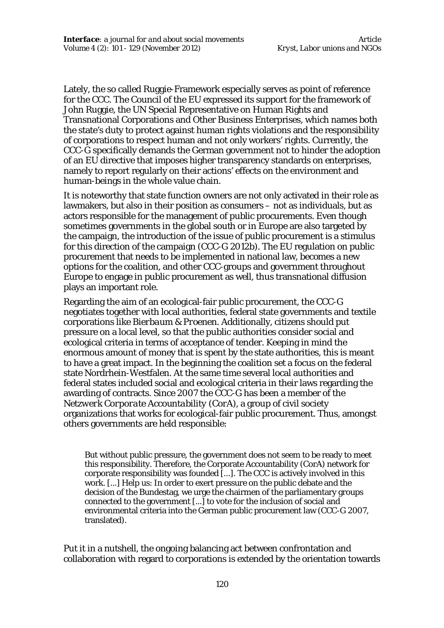Lately, the so called Ruggie-Framework especially serves as point of reference for the CCC. The Council of the EU expressed its support for the framework of John Ruggie, the UN Special Representative on Human Rights and Transnational Corporations and Other Business Enterprises, which names both the state's duty to protect against human rights violations and the responsibility of corporations to respect human and not only workers' rights. Currently, the CCC-G specifically demands the German government not to hinder the adoption of an EU directive that imposes higher transparency standards on enterprises, namely to report regularly on their actions' effects on the environment and human-beings in the whole value chain.

It is noteworthy that state function owners are not only activated in their role as lawmakers, but also in their position as consumers – not as individuals, but as actors responsible for the management of public procurements. Even though sometimes governments in the global south or in Europe are also targeted by the campaign, the introduction of the issue of public procurement is a stimulus for this direction of the campaign (CCC-G 2012b). The EU regulation on public procurement that needs to be implemented in national law, becomes a new options for the coalition, and other CCC-groups and government throughout Europe to engage in public procurement as well, thus transnational diffusion plays an important role.

Regarding the aim of an ecological-fair public procurement, the CCC-G negotiates together with local authorities, federal state governments and textile corporations like *Bierbaum & Proenen*. Additionally, citizens should put pressure on a local level, so that the public authorities consider social and ecological criteria in terms of acceptance of tender. Keeping in mind the enormous amount of money that is spent by the state authorities, this is meant to have a great impact. In the beginning the coalition set a focus on the federal state Nordrhein-Westfalen. At the same time several local authorities and federal states included social and ecological criteria in their laws regarding the awarding of contracts. Since 2007 the CCC-G has been a member of the *Netzwerk Corporate Accountability (CorA)*, a group of civil society organizations that works for ecological-fair public procurement. Thus, amongst others governments are held responsible:

But without public pressure, the government does not seem to be ready to meet this responsibility. Therefore, the Corporate Accountability (CorA) network for corporate responsibility was founded [...]. The CCC is actively involved in this work. [...] Help us: In order to exert pressure on the public debate and the decision of the Bundestag, we urge the chairmen of the parliamentary groups connected to the government [...] to vote for the inclusion of social and environmental criteria into the German public procurement law (CCC-G 2007, translated).

Put it in a nutshell, the ongoing balancing act between confrontation and collaboration with regard to corporations is extended by the orientation towards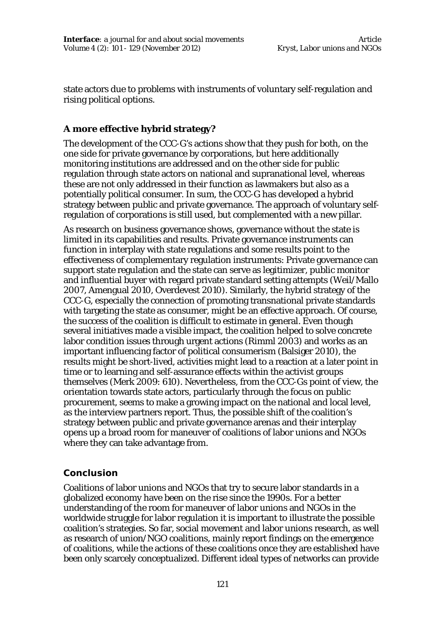state actors due to problems with instruments of voluntary self-regulation and rising political options.

# **A more effective hybrid strategy?**

The development of the CCC-G's actions show that they push for both, on the one side for private governance by corporations, but here additionally monitoring institutions are addressed and on the other side for public regulation through state actors on national and supranational level, whereas these are not only addressed in their function as lawmakers but also as a potentially political consumer. In sum, the CCC-G has developed a hybrid strategy between public and private governance. The approach of voluntary selfregulation of corporations is still used, but complemented with a new pillar.

As research on business governance shows, governance without the state is limited in its capabilities and results. Private governance instruments can function in interplay with state regulations and some results point to the effectiveness of complementary regulation instruments: Private governance can support state regulation and the state can serve as legitimizer, public monitor and influential buyer with regard private standard setting attempts (Weil/Mallo 2007, Amengual 2010, Overdevest 2010). Similarly, the hybrid strategy of the CCC-G, especially the connection of promoting transnational private standards with targeting the state as consumer, might be an effective approach. Of course, the success of the coalition is difficult to estimate in general. Even though several initiatives made a visible impact, the coalition helped to solve concrete labor condition issues through urgent actions (Rimml 2003) and works as an important influencing factor of political consumerism (Balsiger 2010), the results might be short-lived, activities might lead to a reaction at a later point in time or to learning and self-assurance effects within the activist groups themselves (Merk 2009: 610). Nevertheless, from the CCC-Gs point of view, the orientation towards state actors, particularly through the focus on public procurement, seems to make a growing impact on the national and local level, as the interview partners report. Thus, the possible shift of the coalition's strategy between public and private governance arenas and their interplay opens up a broad room for maneuver of coalitions of labor unions and NGOs where they can take advantage from.

# **Conclusion**

Coalitions of labor unions and NGOs that try to secure labor standards in a globalized economy have been on the rise since the 1990s. For a better understanding of the room for maneuver of labor unions and NGOs in the worldwide struggle for labor regulation it is important to illustrate the possible coalition's strategies. So far, social movement and labor unions research, as well as research of union/NGO coalitions, mainly report findings on the emergence of coalitions, while the actions of these coalitions once they are established have been only scarcely conceptualized. Different ideal types of networks can provide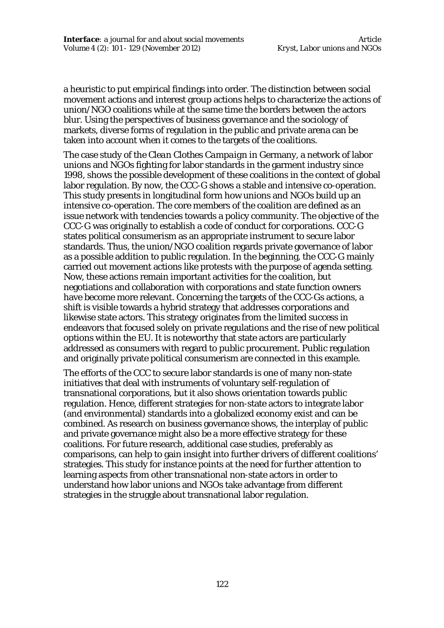a heuristic to put empirical findings into order. The distinction between social movement actions and interest group actions helps to characterize the actions of union/NGO coalitions while at the same time the borders between the actors blur. Using the perspectives of business governance and the sociology of markets, diverse forms of regulation in the public and private arena can be taken into account when it comes to the targets of the coalitions.

The case study of the *Clean Clothes Campaign* in Germany, a network of labor unions and NGOs fighting for labor standards in the garment industry since 1998, shows the possible development of these coalitions in the context of global labor regulation. By now, the CCC-G shows a stable and intensive co-operation. This study presents in longitudinal form how unions and NGOs build up an intensive co-operation. The core members of the coalition are defined as an issue network with tendencies towards a policy community. The objective of the CCC-G was originally to establish a code of conduct for corporations. CCC-G states political consumerism as an appropriate instrument to secure labor standards. Thus, the union/NGO coalition regards private governance of labor as a possible addition to public regulation. In the beginning, the CCC-G mainly carried out movement actions like protests with the purpose of agenda setting. Now, these actions remain important activities for the coalition, but negotiations and collaboration with corporations and state function owners have become more relevant. Concerning the targets of the CCC-Gs actions, a shift is visible towards a hybrid strategy that addresses corporations and likewise state actors. This strategy originates from the limited success in endeavors that focused solely on private regulations and the rise of new political options within the EU. It is noteworthy that state actors are particularly addressed as consumers with regard to public procurement. Public regulation and originally private political consumerism are connected in this example.

The efforts of the CCC to secure labor standards is one of many non-state initiatives that deal with instruments of voluntary self-regulation of transnational corporations, but it also shows orientation towards public regulation. Hence, different strategies for non-state actors to integrate labor (and environmental) standards into a globalized economy exist and can be combined. As research on business governance shows, the interplay of public and private governance might also be a more effective strategy for these coalitions. For future research, additional case studies, preferably as comparisons, can help to gain insight into further drivers of different coalitions' strategies. This study for instance points at the need for further attention to learning aspects from other transnational non-state actors in order to understand how labor unions and NGOs take advantage from different strategies in the struggle about transnational labor regulation.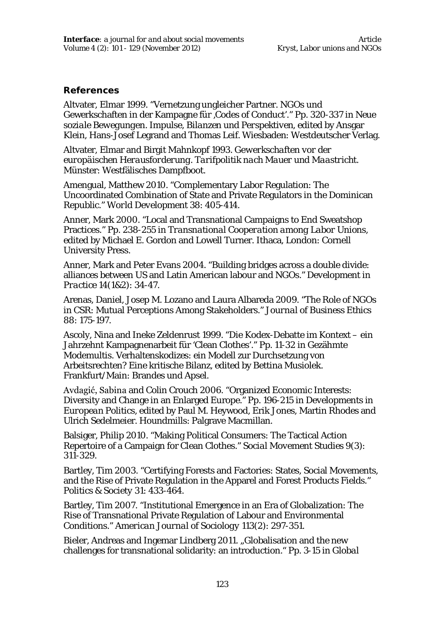#### **References**

Altvater, Elmar 1999. "Vernetzung ungleicher Partner. NGOs und Gewerkschaften in der Kampagne für 'Codes of Conduct'." Pp. 320-337 in *Neue soziale Bewegungen. Impulse, Bilanzen und Perspektiven*, edited by Ansgar Klein, Hans-Josef Legrand and Thomas Leif. Wiesbaden: Westdeutscher Verlag.

Altvater, Elmar and Birgit Mahnkopf 1993. *Gewerkschaften vor der europäischen Herausforderung. Tarifpolitik nach Mauer und Maastricht.* Münster: Westfälisches Dampfboot.

Amengual, Matthew 2010. "Complementary Labor Regulation: The Uncoordinated Combination of State and Private Regulators in the Dominican Republic." *World Development 38*: 405-414.

Anner, Mark 2000. "Local and Transnational Campaigns to End Sweatshop Practices." Pp. 238-255 in *Transnational Cooperation among Labor Unions*, edited by Michael E. Gordon and Lowell Turner. Ithaca, London: Cornell University Press.

Anner, Mark and Peter Evans 2004. "Building bridges across a double divide: alliances between US and Latin American labour and NGOs." *Development in Practice 14(1&2)*: 34-47.

Arenas, Daniel, Josep M. Lozano and Laura Albareda 2009. "The Role of NGOs in CSR: Mutual Perceptions Among Stakeholders." *Journal of Business Ethics 88*: 175-197.

Ascoly, Nina and Ineke Zeldenrust 1999. "Die Kodex-Debatte im Kontext – ein Jahrzehnt Kampagnenarbeit für 'Clean Clothes'." Pp. 11-32 in Gezähmte Modemultis. Verhaltenskodizes: ein Modell zur Durchsetzung von Arbeitsrechten? Eine kritische Bilanz, edited by Bettina Musiolek. Frankfurt/Main: Brandes und Apsel.

Avdagić, Sabina and Colin Crouch 2006. "Organized Economic Interests: Diversity and Change in an Enlarged Europe." Pp. 196-215 in *Developments in European Politics*, edited by Paul M. Heywood, Erik Jones, Martin Rhodes and Ulrich Sedelmeier. Houndmills: Palgrave Macmillan.

Balsiger, Philip 2010. "Making Political Consumers: The Tactical Action Repertoire of a Campaign for Clean Clothes." *Social Movement Studies 9(3)*: 311-329.

Bartley, Tim 2003. "Certifying Forests and Factories: States, Social Movements, and the Rise of Private Regulation in the Apparel and Forest Products Fields." *Politics & Society 31*: 433-464.

Bartley, Tim 2007. "Institutional Emergence in an Era of Globalization: The Rise of Transnational Private Regulation of Labour and Environmental Conditions." *American Journal of Sociology 113(2)*: 297-351.

Bieler, Andreas and Ingemar Lindberg 2011. "Globalisation and the new challenges for transnational solidarity: an introduction." Pp. 3-15 in *Global*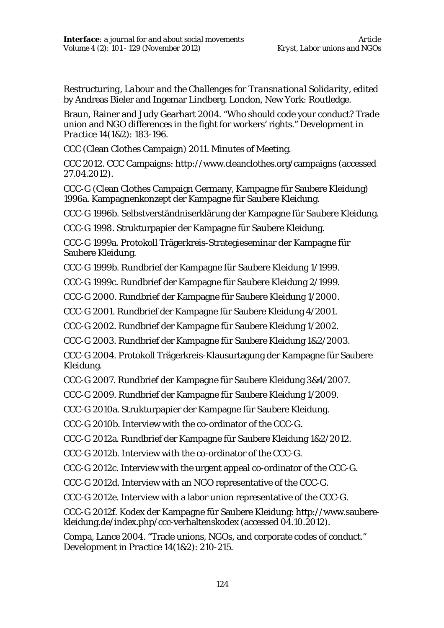*Restructuring, Labour and the Challenges for Transnational Solidarity*, edited by Andreas Bieler and Ingemar Lindberg. London, New York: Routledge.

Braun, Rainer and Judy Gearhart 2004. "Who should code your conduct? Trade union and NGO differences in the fight for workers' rights." *Development in Practice 14(1&2)*: 183-196.

CCC (Clean Clothes Campaign) 2011. Minutes of Meeting.

CCC 2012. CCC Campaigns: http://www.cleanclothes.org/campaigns (accessed 27.04.2012).

CCC-G (Clean Clothes Campaign Germany, Kampagne für Saubere Kleidung) 1996a. Kampagnenkonzept der Kampagne für Saubere Kleidung.

CCC-G 1996b. Selbstverständniserklärung der Kampagne für Saubere Kleidung.

CCC-G 1998. Strukturpapier der Kampagne für Saubere Kleidung.

CCC-G 1999a. Protokoll Trägerkreis-Strategieseminar der Kampagne für Saubere Kleidung.

CCC-G 1999b. Rundbrief der Kampagne für Saubere Kleidung 1/1999.

CCC-G 1999c. Rundbrief der Kampagne für Saubere Kleidung 2/1999.

CCC-G 2000. Rundbrief der Kampagne für Saubere Kleidung 1/2000.

CCC-G 2001. Rundbrief der Kampagne für Saubere Kleidung 4/2001.

CCC-G 2002. Rundbrief der Kampagne für Saubere Kleidung 1/2002.

CCC-G 2003. Rundbrief der Kampagne für Saubere Kleidung 1&2/2003.

CCC-G 2004. Protokoll Trägerkreis-Klausurtagung der Kampagne für Saubere Kleidung.

CCC-G 2007. Rundbrief der Kampagne für Saubere Kleidung 3&4/2007.

CCC-G 2009. Rundbrief der Kampagne für Saubere Kleidung 1/2009.

CCC-G 2010a. Strukturpapier der Kampagne für Saubere Kleidung.

CCC-G 2010b. Interview with the co-ordinator of the CCC-G.

CCC-G 2012a. Rundbrief der Kampagne für Saubere Kleidung 1&2/2012.

CCC-G 2012b. Interview with the co-ordinator of the CCC-G.

CCC-G 2012c. Interview with the urgent appeal co-ordinator of the CCC-G.

CCC-G 2012d. Interview with an NGO representative of the CCC-G.

CCC-G 2012e. Interview with a labor union representative of the CCC-G.

CCC-G 2012f. Kodex der Kampagne für Saubere Kleidung: http://www.sauberekleidung.de/index.php/ccc-verhaltenskodex (accessed 04.10.2012).

Compa, Lance 2004. "Trade unions, NGOs, and corporate codes of conduct." *Development in Practice 14(1&2)*: 210-215.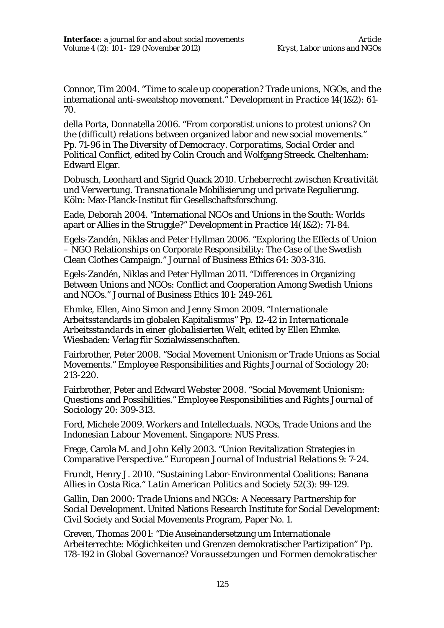Connor, Tim 2004. "Time to scale up cooperation? Trade unions, NGOs, and the international anti-sweatshop movement." *Development in Practice 14(1&2)*: 61- 70.

della Porta, Donnatella 2006. "From corporatist unions to protest unions? On the (difficult) relations between organized labor and new social movements." Pp. 71-96 in *The Diversity of Democracy. Corporatims, Social Order and Political Conflict*, edited by Colin Crouch and Wolfgang Streeck. Cheltenham: Edward Elgar.

Dobusch, Leonhard and Sigrid Quack 2010. *Urheberrecht zwischen Kreativität und Verwertung. Transnationale Mobilisierung und private Regulierung*. Köln: Max-Planck-Institut für Gesellschaftsforschung.

Eade, Deborah 2004. "International NGOs and Unions in the South: Worlds apart or Allies in the Struggle?" *Development in Practice 14(1&2)*: 71-84.

Egels-Zandén, Niklas and Peter Hyllman 2006. "Exploring the Effects of Union – NGO Relationships on Corporate Responsibility: The Case of the Swedish Clean Clothes Campaign." *Journal of Business Ethics 64*: 303-316.

Egels-Zandén, Niklas and Peter Hyllman 2011. "Differences in Organizing Between Unions and NGOs: Conflict and Cooperation Among Swedish Unions and NGOs." *Journal of Business Ethics 101*: 249-261.

Ehmke, Ellen, Aino Simon and Jenny Simon 2009. "Internationale Arbeitsstandards im globalen Kapitalismus" Pp. 12-42 in *Internationale Arbeitsstandards in einer globalisierten Welt*, edited by Ellen Ehmke. Wiesbaden: Verlag für Sozialwissenschaften.

Fairbrother, Peter 2008. "Social Movement Unionism or Trade Unions as Social Movements." *Employee Responsibilities and Rights Journal of Sociology 20*: 213-220.

Fairbrother, Peter and Edward Webster 2008. "Social Movement Unionism: Questions and Possibilities*." Employee Responsibilities and Rights Journal of Sociology 20*: 309-313.

Ford, Michele 2009. *Workers and Intellectuals. NGOs, Trade Unions and the Indonesian Labour Movement*. Singapore: NUS Press.

Frege, Carola M. and John Kelly 2003. "Union Revitalization Strategies in Comparative Perspective." *European Journal of Industrial Relations 9*: 7-24.

Frundt, Henry J. 2010. "Sustaining Labor-Environmental Coalitions: Banana Allies in Costa Rica." *Latin American Politics and Society 52(3)*: 99-129.

Gallin, Dan 2000: *Trade Unions and NGOs: A Necessary Partnership for Social Development.* United Nations Research Institute for Social Development: Civil Society and Social Movements Program, Paper No. 1.

Greven, Thomas 2001: "Die Auseinandersetzung um Internationale Arbeiterrechte: Möglichkeiten und Grenzen demokratischer Partizipation" Pp. 178-192 in *Global Governance? Voraussetzungen und Formen demokratischer*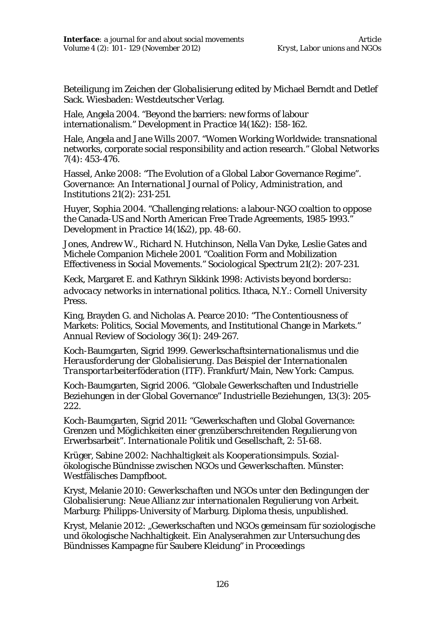*Beteiligung im Zeichen der Globalisierung* edited by Michael Berndt and Detlef Sack. Wiesbaden: Westdeutscher Verlag.

Hale, Angela 2004. "Beyond the barriers: new forms of labour internationalism." *Development in Practice 14(1&2)*: 158-162.

Hale, Angela and Jane Wills 2007. "Women Working Worldwide: transnational networks, corporate social responsibility and action research." *Global Networks 7(4)*: 453-476.

Hassel, Anke 2008: "The Evolution of a Global Labor Governance Regime". *Governance: An International Journal of Policy, Administration, and Institutions 21(2)*: 231-251.

Huyer, Sophia 2004. "Challenging relations: a labour-NGO coaltion to oppose the Canada-US and North American Free Trade Agreements, 1985-1993." *Development in Practice 14(1&2)*, pp. 48-60.

Jones, Andrew W., Richard N. Hutchinson, Nella Van Dyke, Leslie Gates and Michele Companion Michele 2001. "Coalition Form and Mobilization Effectiveness in Social Movements." *Sociological Spectrum 21(2)*: 207-231.

Keck, Margaret E. and Kathryn Sikkink 1998: *Activists beyond borders: advocacy networks in international politics*. Ithaca, N.Y.: Cornell University Press.

King, Brayden G. and Nicholas A. Pearce 2010: "The Contentiousness of Markets: Politics, Social Movements, and Institutional Change in Markets." *Annual Review of Sociology 36(1)*: 249-267.

Koch-Baumgarten, Sigrid 1999. *Gewerkschaftsinternationalismus und die Herausforderung der Globalisierung. Das Beispiel der Internationalen Transportarbeiterföderation (ITF).* Frankfurt/Main, New York: Campus.

Koch-Baumgarten, Sigrid 2006. "Globale Gewerkschaften und Industrielle Beziehungen in der Global Governance" *Industrielle Beziehungen, 13(3)*: 205- 222.

Koch-Baumgarten, Sigrid 2011: "Gewerkschaften und Global Governance: Grenzen und Möglichkeiten einer grenzüberschreitenden Regulierung von Erwerbsarbeit". *Internationale Politik und Gesellschaft, 2*: 51-68.

Krüger, Sabine 2002: *Nachhaltigkeit als Kooperationsimpuls. Sozialökologische Bündnisse zwischen NGOs und Gewerkschaften*. Münster: Westfälisches Dampfboot.

Kryst, Melanie 2010: *Gewerkschaften und NGOs unter den Bedingungen der Globalisierung: Neue Allianz zur internationalen Regulierung von Arbeit*. Marburg: Philipps-University of Marburg. Diploma thesis, unpublished.

Kryst, Melanie 2012: "Gewerkschaften und NGOs gemeinsam für soziologische und ökologische Nachhaltigkeit. Ein Analyserahmen zur Untersuchung des Bündnisses Kampagne für Saubere Kleidung" in *Proceedings*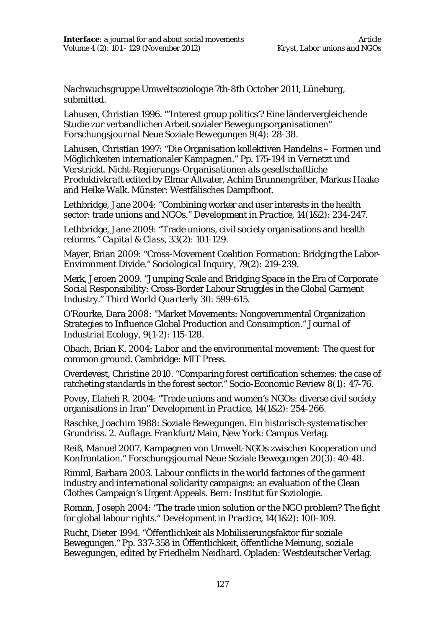*Nachwuchsgruppe Umweltsoziologie 7th-8th October 2011, Lüneburg*, submitted.

Lahusen, Christian 1996. "'Interest group politics'? Eine ländervergleichende Studie zur verbandlichen Arbeit sozialer Bewegungsorganisationen" *Forschungsjournal Neue Soziale Bewegungen 9(4):* 28-38.

Lahusen, Christian 1997: "Die Organisation kollektiven Handelns – Formen und Möglichkeiten internationaler Kampagnen." Pp. 175-194 in *Vernetzt und Verstrickt. Nicht-Regierungs-Organisationen als gesellschaftliche Produktivkraft* edited by Elmar Altvater, Achim Brunnengräber, Markus Haake and Heike Walk. Münster: Westfälisches Dampfboot.

Lethbridge, Jane 2004: "Combining worker and user interests in the health sector: trade unions and NGOs." *Development in Practice, 14(1&2)*: 234-247.

Lethbridge, Jane 2009: "Trade unions, civil society organisations and health reforms." *Capital & Class, 33(2)*: 101-129.

Mayer, Brian 2009: "Cross-Movement Coalition Formation: Bridging the Labor-Environment Divide." *Sociological Inquiry, 79(2)*: 219-239.

Merk, Jeroen 2009. "Jumping Scale and Bridging Space in the Era of Corporate Social Responsibility: Cross-Border Labour Struggles in the Global Garment Industry." *Third World Quarterly 30*: 599-615.

O'Rourke, Dara 2008: "Market Movements: Nongovernmental Organization Strategies to Influence Global Production and Consumption." *Journal of Industrial Ecology, 9(1-2)*: 115-128.

Obach, Brian K. 2004: *Labor and the environmental movement: The quest for common ground*. Cambridge: MIT Press.

Overdevest, Christine 2010. "Comparing forest certification schemes: the case of ratcheting standards in the forest sector." *Socio-Economic Review 8(1):* 47-76.

Povey, Elaheh R. 2004: "Trade unions and women's NGOs: diverse civil society organisations in Iran" *Development in Practice, 14(1&2)*: 254-266.

Raschke, Joachim 1988: *Soziale Bewegungen. Ein historisch-systematischer Grundriss. 2. Auflage*. Frankfurt/Main, New York: Campus Verlag.

Reiß, Manuel 2007. Kampagnen von Umwelt-NGOs zwischen Kooperation und Konfrontation." Forschungsjournal Neue Soziale Bewegungen 20(3): 40-48.

Rimml, Barbara 2003. Labour conflicts in the world factories of the garment industry and international solidarity campaigns: an evaluation of the Clean Clothes Campaign's Urgent Appeals. Bern: Institut für Soziologie.

Roman, Joseph 2004: "The trade union solution or the NGO problem? The fight for global labour rights." *Development in Practice, 14(1&2)*: 100-109.

Rucht, Dieter 1994. "Öffentlichkeit als Mobilisierungsfaktor für soziale Bewegungen." Pp. 337-358 in *Öffentlichkeit, öffentliche Meinung, soziale Bewegungen*, edited by Friedhelm Neidhard. Opladen: Westdeutscher Verlag.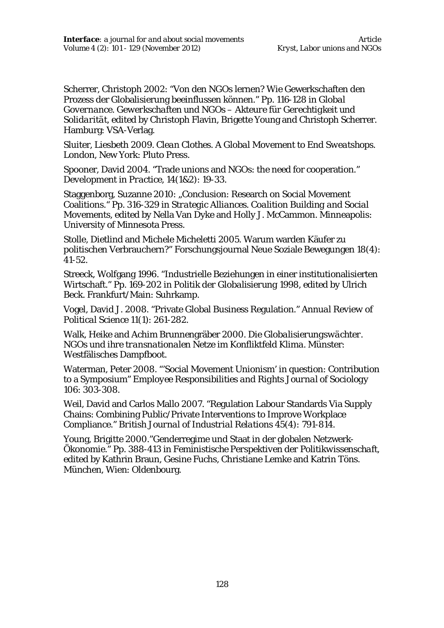Scherrer, Christoph 2002: "Von den NGOs lernen? Wie Gewerkschaften den Prozess der Globalisierung beeinflussen können." Pp. 116-128 in *Global Governance. Gewerkschaften und NGOs – Akteure für Gerechtigkeit und Solidarität*, edited by Christoph Flavin, Brigette Young and Christoph Scherrer. Hamburg: VSA-Verlag.

Sluiter, Liesbeth 2009. *Clean Clothes. A Global Movement to End Sweatshops*. London, New York: Pluto Press.

Spooner, David 2004. "Trade unions and NGOs: the need for cooperation." *Development in Practice, 14(1&2)*: 19-33.

Staggenborg, Suzanne 2010: "Conclusion: Research on Social Movement Coalitions." Pp. 316-329 in *Strategic Alliances. Coalition Building and Social Movements*, edited by Nella Van Dyke and Holly J. McCammon. Minneapolis: University of Minnesota Press.

Stolle, Dietlind and Michele Micheletti 2005. Warum warden Käufer zu politischen Verbrauchern?" Forschungsjournal Neue Soziale Bewegungen 18(4): 41-52.

Streeck, Wolfgang 1996. "Industrielle Beziehungen in einer institutionalisierten Wirtschaft." Pp. 169-202 in *Politik der Globalisierung* 1998, edited by Ulrich Beck. Frankfurt/Main: Suhrkamp.

Vogel, David J. 2008. "Private Global Business Regulation." *Annual Review of Political Science 11(1)*: 261-282.

Walk, Heike and Achim Brunnengräber 2000. *Die Globalisierungswächter. NGOs und ihre transnationalen Netze im Konfliktfeld Klima*. Münster: Westfälisches Dampfboot.

Waterman, Peter 2008. "'Social Movement Unionism' in question: Contribution to a Symposium" *Employee Responsibilities and Rights Journal of Sociology 106*: 303-308.

Weil, David and Carlos Mallo 2007. "Regulation Labour Standards Via Supply Chains: Combining Public/Private Interventions to Improve Workplace Compliance." *British Journal of Industrial Relations 45(4):* 791-814.

Young, Brigitte 2000."Genderregime und Staat in der globalen Netzwerk-Ökonomie." Pp. 388-413 in *Feministische Perspektiven der Politikwissenschaft*, edited by Kathrin Braun, Gesine Fuchs, Christiane Lemke and Katrin Töns. München, Wien: Oldenbourg.